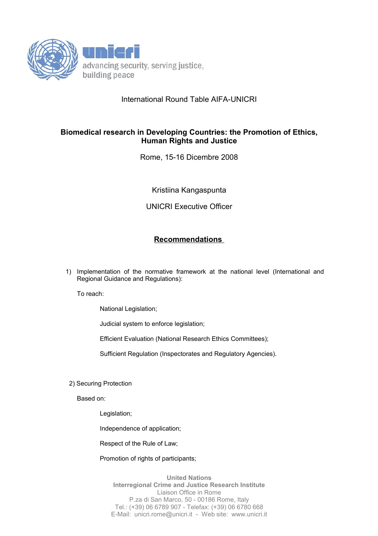

## International Round Table AIFA-UNICRI

## **Biomedical research in Developing Countries: the Promotion of Ethics, Human Rights and Justice**

Rome, 15-16 Dicembre 2008

Kristiina Kangaspunta

UNICRI Executive Officer

## **Recommendations**

1) Implementation of the normative framework at the national level (International and Regional Guidance and Regulations):

To reach:

National Legislation;

Judicial system to enforce legislation;

Efficient Evaluation (National Research Ethics Committees);

Sufficient Regulation (Inspectorates and Regulatory Agencies).

2) Securing Protection

Based on:

Legislation;

Independence of application;

Respect of the Rule of Law;

Promotion of rights of participants;

**United Nations Interregional Crime and Justice Research Institute** Liaison Office in Rome P.za di San Marco, 50 - 00186 Rome, Italy Tel.: (+39) 06 6789 907 - Telefax: (+39) 06 6780 668 E-Mail: unicri.rome@unicri.it - Web site: www.unicri.it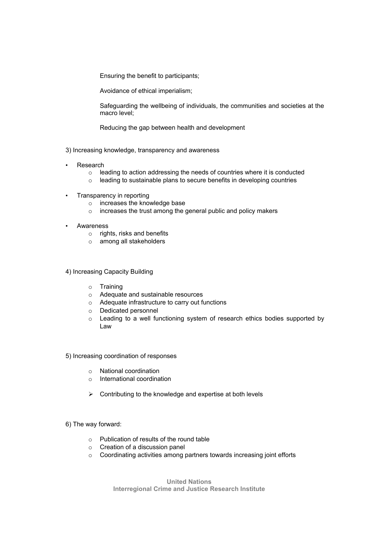Ensuring the benefit to participants;

Avoidance of ethical imperialism;

Safeguarding the wellbeing of individuals, the communities and societies at the macro level;

Reducing the gap between health and development

3) Increasing knowledge, transparency and awareness

- **Research** 
	- o leading to action addressing the needs of countries where it is conducted
	- o leading to sustainable plans to secure benefits in developing countries
- Transparency in reporting
	- o increases the knowledge base
	- o increases the trust among the general public and policy makers
- **Awareness** 
	- o rights, risks and benefits
	- o among all stakeholders

4) Increasing Capacity Building

- o Training
- o Adequate and sustainable resources
- o Adequate infrastructure to carry out functions
- o Dedicated personnel
- o Leading to a well functioning system of research ethics bodies supported by Law

5) Increasing coordination of responses

- o National coordination
- o International coordination
- $\triangleright$  Contributing to the knowledge and expertise at both levels

## 6) The way forward:

- o Publication of results of the round table
- o Creation of a discussion panel
- o Coordinating activities among partners towards increasing joint efforts

**United Nations Interregional Crime and Justice Research Institute**